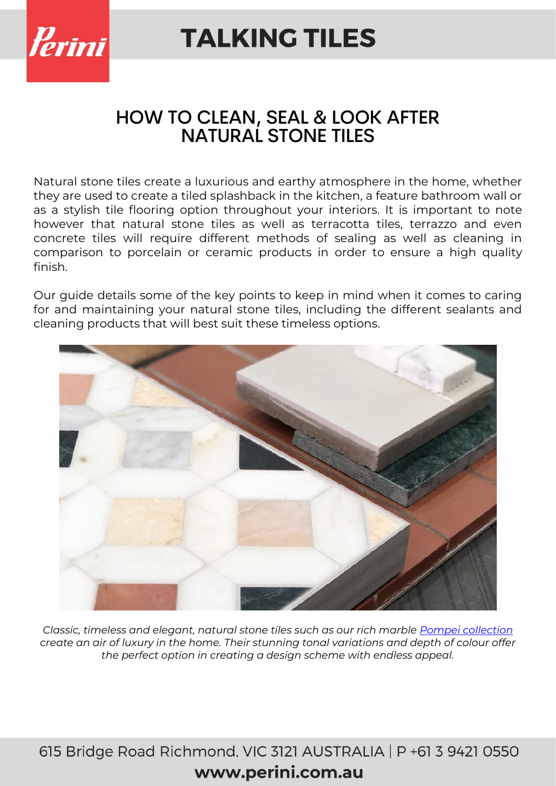

### HOW TO CLEAN, SEAL & LOOK AFTER NATURAL STONE TILES

Natural stone tiles create a luxurious and earthy atmosphere in the home, whether they are used to create a tiled splashback in the kitchen, a feature bathroom wall or as a stylish tile flooring option throughout your interiors. It is important to note however that natural stone tiles as well as terracotta tiles, terrazzo and even concrete tiles will require different methods of sealing as well as cleaning in comparison to porcelain or ceramic products in order to ensure a high quality finish.

Our guide details some of the key points to keep in mind when it comes to caring for and maintaining your natural stone tiles, including the different sealants and cleaning products that will best suit these timeless options.



*Classic, timeless and elegant, natural stone tiles such as our rich marble [Pompei collection](https://www.perini.com.au/collection/pompei/) create an air of luxury in the home. Their stunning tonal variations and depth of colour offer the perfect option in creating a design scheme with endless appeal.*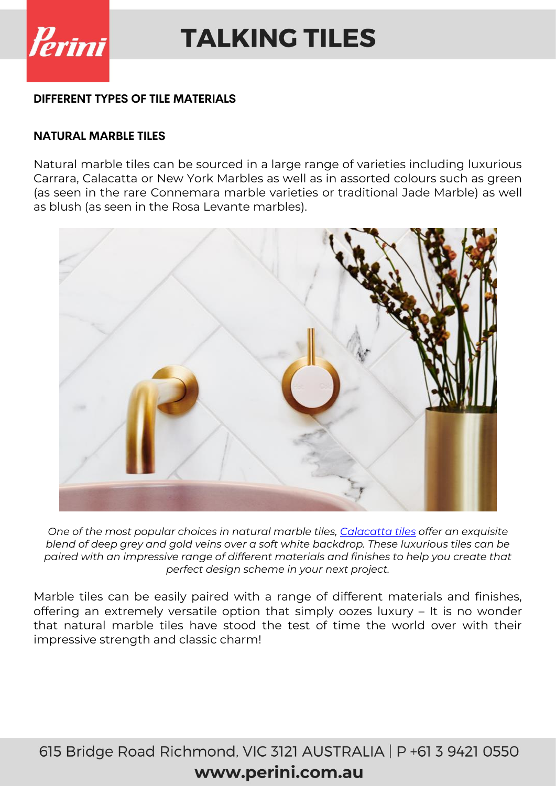

#### **DIFFERENT TYPES OF TILE MATERIALS**

#### **NATURAL MARBLE TILES**

Natural marble tiles can be sourced in a large range of varieties including luxurious Carrara, Calacatta or New York Marbles as well as in assorted colours such as green (as seen in the rare Connemara marble varieties or traditional Jade Marble) as well as blush (as seen in the Rosa Levante marbles).



*One of the most popular choices in natural marble tiles, [Calacatta tiles](https://www.perini.com.au/collection/calacatta/) offer an exquisite blend of deep grey and gold veins over a soft white backdrop. These luxurious tiles can be paired with an impressive range of different materials and finishes to help you create that perfect design scheme in your next project.* 

Marble tiles can be easily paired with a range of different materials and finishes, offering an extremely versatile option that simply oozes luxury – It is no wonder that natural marble tiles have stood the test of time the world over with their impressive strength and classic charm!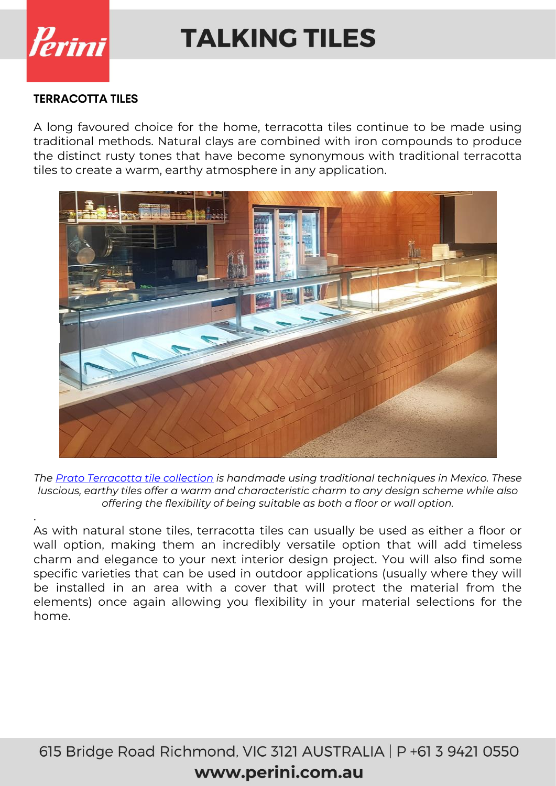

.

# **TALKING TILES**

#### **TERRACOTTA TILES**

A long favoured choice for the home, terracotta tiles continue to be made using traditional methods. Natural clays are combined with iron compounds to produce the distinct rusty tones that have become synonymous with traditional terracotta tiles to create a warm, earthy atmosphere in any application.



*The [Prato Terracotta tile collection](https://www.perini.com.au/collection/prato-terracotta/) is handmade using traditional techniques in Mexico. These luscious, earthy tiles offer a warm and characteristic charm to any design scheme while also offering the flexibility of being suitable as both a floor or wall option.*

As with natural stone tiles, terracotta tiles can usually be used as either a floor or wall option, making them an incredibly versatile option that will add timeless charm and elegance to your next interior design project. You will also find some specific varieties that can be used in outdoor applications (usually where they will be installed in an area with a cover that will protect the material from the elements) once again allowing you flexibility in your material selections for the home.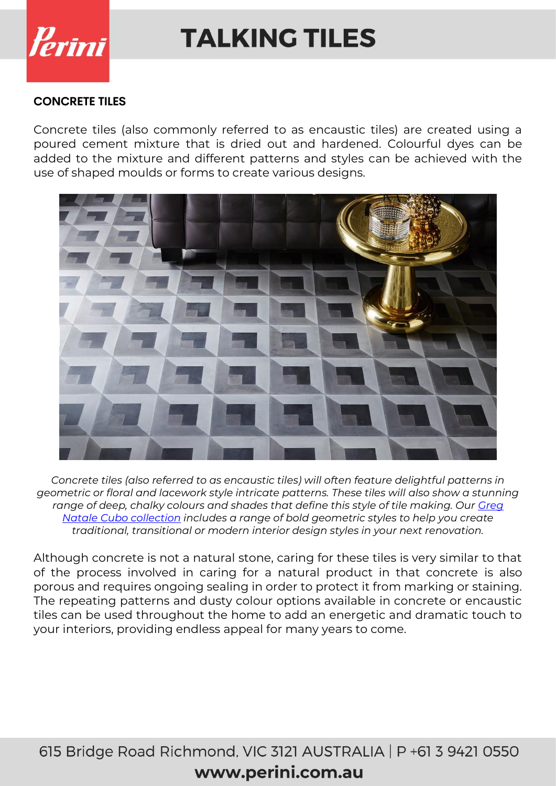

#### **CONCRETE TILES**

Concrete tiles (also commonly referred to as encaustic tiles) are created using a poured cement mixture that is dried out and hardened. Colourful dyes can be added to the mixture and different patterns and styles can be achieved with the use of shaped moulds or forms to create various designs.



*Concrete tiles (also referred to as encaustic tiles) will often feature delightful patterns in geometric or floral and lacework style intricate patterns. These tiles will also show a stunning range of deep, chalky colours and shades that define this style of tile making. Our [Greg](https://www.perini.com.au/collection/greg-natale-cubo/)  [Natale Cubo collection](https://www.perini.com.au/collection/greg-natale-cubo/) includes a range of bold geometric styles to help you create traditional, transitional or modern interior design styles in your next renovation.*

Although concrete is not a natural stone, caring for these tiles is very similar to that of the process involved in caring for a natural product in that concrete is also porous and requires ongoing sealing in order to protect it from marking or staining. The repeating patterns and dusty colour options available in concrete or encaustic tiles can be used throughout the home to add an energetic and dramatic touch to your interiors, providing endless appeal for many years to come.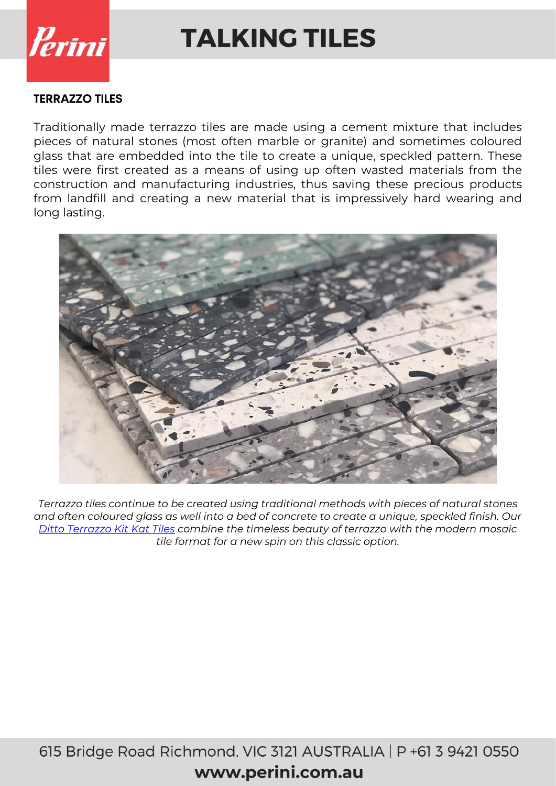

#### **TERRAZZO TILES**

Traditionally made terrazzo tiles are made using a cement mixture that includes pieces of natural stones (most often marble or granite) and sometimes coloured glass that are embedded into the tile to create a unique, speckled pattern. These tiles were first created as a means of using up often wasted materials from the construction and manufacturing industries, thus saving these precious products from landfill and creating a new material that is impressively hard wearing and long lasting.



*Terrazzo tiles continue to be created using traditional methods with pieces of natural stones and often coloured glass as well into a bed of concrete to create a unique, speckled finish. Our [Ditto Terrazzo Kit Kat Tiles](https://www.perini.com.au/collection/ditto-terrazzo-kit-kat-tiles/) combine the timeless beauty of terrazzo with the modern mosaic tile format for a new spin on this classic option.*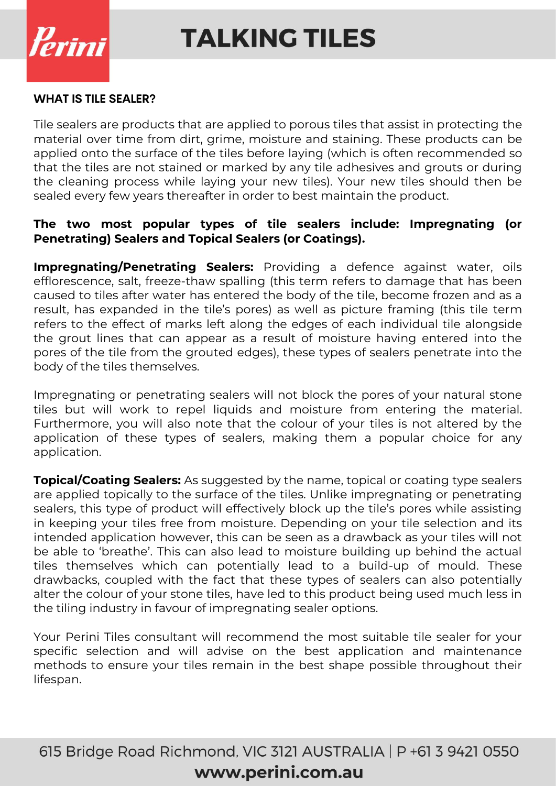

#### **WHAT IS TILE SEALER?**

Tile sealers are products that are applied to porous tiles that assist in protecting the material over time from dirt, grime, moisture and staining. These products can be applied onto the surface of the tiles before laying (which is often recommended so that the tiles are not stained or marked by any tile adhesives and grouts or during the cleaning process while laying your new tiles). Your new tiles should then be sealed every few years thereafter in order to best maintain the product.

#### **The two most popular types of tile sealers include: Impregnating (or Penetrating) Sealers and Topical Sealers (or Coatings).**

**Impregnating/Penetrating Sealers:** Providing a defence against water, oils efflorescence, salt, freeze-thaw spalling (this term refers to damage that has been caused to tiles after water has entered the body of the tile, become frozen and as a result, has expanded in the tile's pores) as well as picture framing (this tile term refers to the effect of marks left along the edges of each individual tile alongside the grout lines that can appear as a result of moisture having entered into the pores of the tile from the grouted edges), these types of sealers penetrate into the body of the tiles themselves.

Impregnating or penetrating sealers will not block the pores of your natural stone tiles but will work to repel liquids and moisture from entering the material. Furthermore, you will also note that the colour of your tiles is not altered by the application of these types of sealers, making them a popular choice for any application.

**Topical/Coating Sealers:** As suggested by the name, topical or coating type sealers are applied topically to the surface of the tiles. Unlike impregnating or penetrating sealers, this type of product will effectively block up the tile's pores while assisting in keeping your tiles free from moisture. Depending on your tile selection and its intended application however, this can be seen as a drawback as your tiles will not be able to 'breathe'. This can also lead to moisture building up behind the actual tiles themselves which can potentially lead to a build-up of mould. These drawbacks, coupled with the fact that these types of sealers can also potentially alter the colour of your stone tiles, have led to this product being used much less in the tiling industry in favour of impregnating sealer options.

Your Perini Tiles consultant will recommend the most suitable tile sealer for your specific selection and will advise on the best application and maintenance methods to ensure your tiles remain in the best shape possible throughout their lifespan.